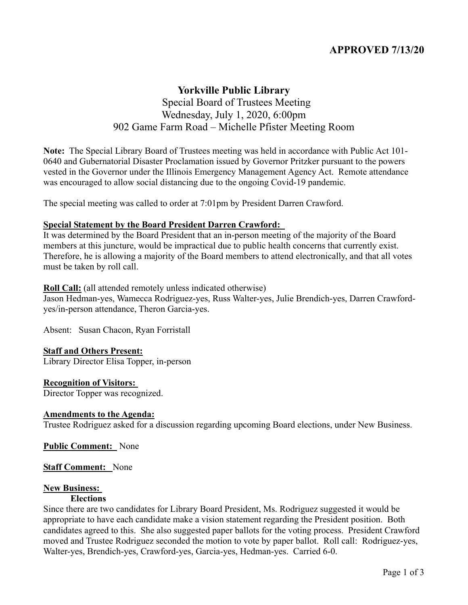# **APPROVED 7/13/20**

# **Yorkville Public Library** Special Board of Trustees Meeting Wednesday, July 1, 2020, 6:00pm 902 Game Farm Road – Michelle Pfister Meeting Room

**Note:** The Special Library Board of Trustees meeting was held in accordance with Public Act 101- 0640 and Gubernatorial Disaster Proclamation issued by Governor Pritzker pursuant to the powers vested in the Governor under the Illinois Emergency Management Agency Act. Remote attendance was encouraged to allow social distancing due to the ongoing Covid-19 pandemic.

The special meeting was called to order at 7:01pm by President Darren Crawford.

#### **Special Statement by the Board President Darren Crawford:**

It was determined by the Board President that an in-person meeting of the majority of the Board members at this juncture, would be impractical due to public health concerns that currently exist. Therefore, he is allowing a majority of the Board members to attend electronically, and that all votes must be taken by roll call.

#### **Roll Call:** (all attended remotely unless indicated otherwise)

Jason Hedman-yes, Wamecca Rodriguez-yes, Russ Walter-yes, Julie Brendich-yes, Darren Crawfordyes/in-person attendance, Theron Garcia-yes.

Absent: Susan Chacon, Ryan Forristall

# **Staff and Others Present:**

Library Director Elisa Topper, in-person

# **Recognition of Visitors:**

Director Topper was recognized.

# **Amendments to the Agenda:**

Trustee Rodriguez asked for a discussion regarding upcoming Board elections, under New Business.

**Public Comment:** None

#### **Staff Comment:** None

#### **New Business:**

#### **Elections**

Since there are two candidates for Library Board President, Ms. Rodriguez suggested it would be appropriate to have each candidate make a vision statement regarding the President position. Both candidates agreed to this. She also suggested paper ballots for the voting process. President Crawford moved and Trustee Rodriguez seconded the motion to vote by paper ballot. Roll call: Rodriguez-yes, Walter-yes, Brendich-yes, Crawford-yes, Garcia-yes, Hedman-yes. Carried 6-0.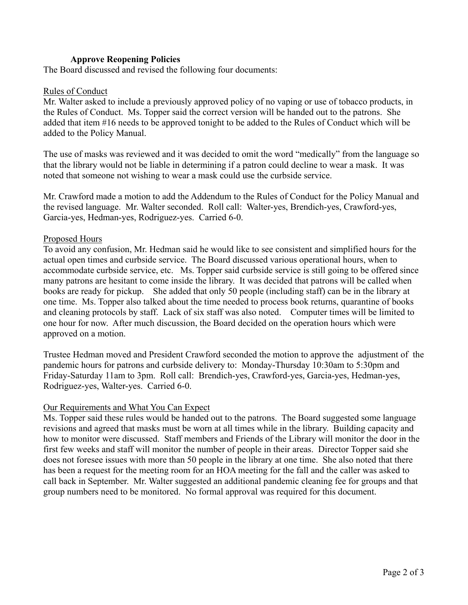# **Approve Reopening Policies**

The Board discussed and revised the following four documents:

#### Rules of Conduct

Mr. Walter asked to include a previously approved policy of no vaping or use of tobacco products, in the Rules of Conduct. Ms. Topper said the correct version will be handed out to the patrons. She added that item #16 needs to be approved tonight to be added to the Rules of Conduct which will be added to the Policy Manual.

The use of masks was reviewed and it was decided to omit the word "medically" from the language so that the library would not be liable in determining if a patron could decline to wear a mask. It was noted that someone not wishing to wear a mask could use the curbside service.

Mr. Crawford made a motion to add the Addendum to the Rules of Conduct for the Policy Manual and the revised language. Mr. Walter seconded. Roll call: Walter-yes, Brendich-yes, Crawford-yes, Garcia-yes, Hedman-yes, Rodriguez-yes. Carried 6-0.

# Proposed Hours

To avoid any confusion, Mr. Hedman said he would like to see consistent and simplified hours for the actual open times and curbside service. The Board discussed various operational hours, when to accommodate curbside service, etc. Ms. Topper said curbside service is still going to be offered since many patrons are hesitant to come inside the library. It was decided that patrons will be called when books are ready for pickup. She added that only 50 people (including staff) can be in the library at one time. Ms. Topper also talked about the time needed to process book returns, quarantine of books and cleaning protocols by staff. Lack of six staff was also noted. Computer times will be limited to one hour for now. After much discussion, the Board decided on the operation hours which were approved on a motion.

Trustee Hedman moved and President Crawford seconded the motion to approve the adjustment of the pandemic hours for patrons and curbside delivery to: Monday-Thursday 10:30am to 5:30pm and Friday-Saturday 11am to 3pm. Roll call: Brendich-yes, Crawford-yes, Garcia-yes, Hedman-yes, Rodriguez-yes, Walter-yes. Carried 6-0.

# Our Requirements and What You Can Expect

Ms. Topper said these rules would be handed out to the patrons. The Board suggested some language revisions and agreed that masks must be worn at all times while in the library. Building capacity and how to monitor were discussed. Staff members and Friends of the Library will monitor the door in the first few weeks and staff will monitor the number of people in their areas. Director Topper said she does not foresee issues with more than 50 people in the library at one time. She also noted that there has been a request for the meeting room for an HOA meeting for the fall and the caller was asked to call back in September. Mr. Walter suggested an additional pandemic cleaning fee for groups and that group numbers need to be monitored. No formal approval was required for this document.